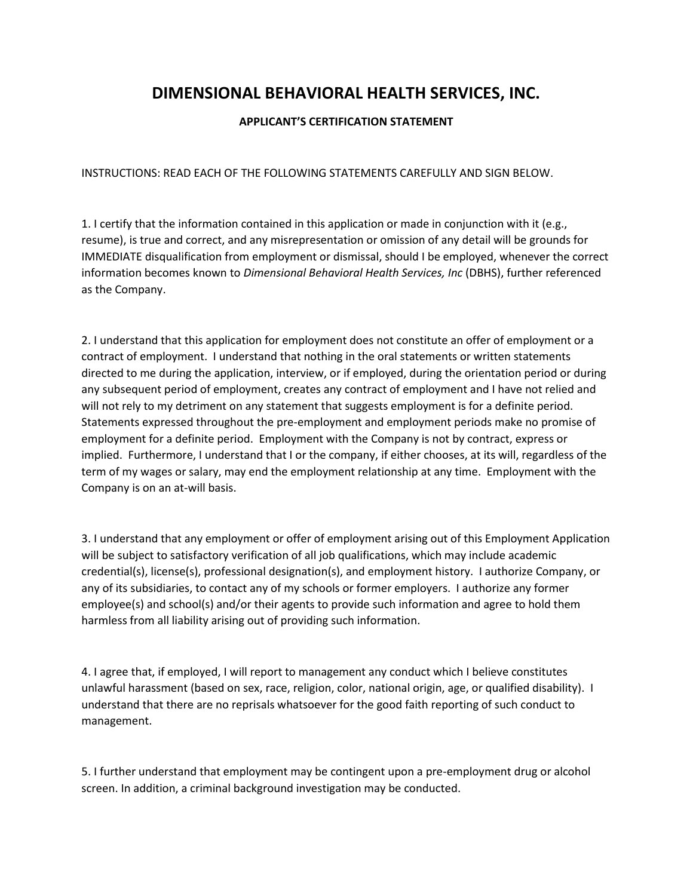## **DIMENSIONAL BEHAVIORAL HEALTH SERVICES, INC.**

## **APPLICANT'S CERTIFICATION STATEMENT**

INSTRUCTIONS: READ EACH OF THE FOLLOWING STATEMENTS CAREFULLY AND SIGN BELOW.

1. I certify that the information contained in this application or made in conjunction with it (e.g., resume), is true and correct, and any misrepresentation or omission of any detail will be grounds for IMMEDIATE disqualification from employment or dismissal, should I be employed, whenever the correct information becomes known to *Dimensional Behavioral Health Services, Inc* (DBHS), further referenced as the Company.

2. I understand that this application for employment does not constitute an offer of employment or a contract of employment. I understand that nothing in the oral statements or written statements directed to me during the application, interview, or if employed, during the orientation period or during any subsequent period of employment, creates any contract of employment and I have not relied and will not rely to my detriment on any statement that suggests employment is for a definite period. Statements expressed throughout the pre-employment and employment periods make no promise of employment for a definite period. Employment with the Company is not by contract, express or implied. Furthermore, I understand that I or the company, if either chooses, at its will, regardless of the term of my wages or salary, may end the employment relationship at any time. Employment with the Company is on an at-will basis.

3. I understand that any employment or offer of employment arising out of this Employment Application will be subject to satisfactory verification of all job qualifications, which may include academic credential(s), license(s), professional designation(s), and employment history. I authorize Company, or any of its subsidiaries, to contact any of my schools or former employers. I authorize any former employee(s) and school(s) and/or their agents to provide such information and agree to hold them harmless from all liability arising out of providing such information.

4. I agree that, if employed, I will report to management any conduct which I believe constitutes unlawful harassment (based on sex, race, religion, color, national origin, age, or qualified disability). I understand that there are no reprisals whatsoever for the good faith reporting of such conduct to management.

5. I further understand that employment may be contingent upon a pre-employment drug or alcohol screen. In addition, a criminal background investigation may be conducted.